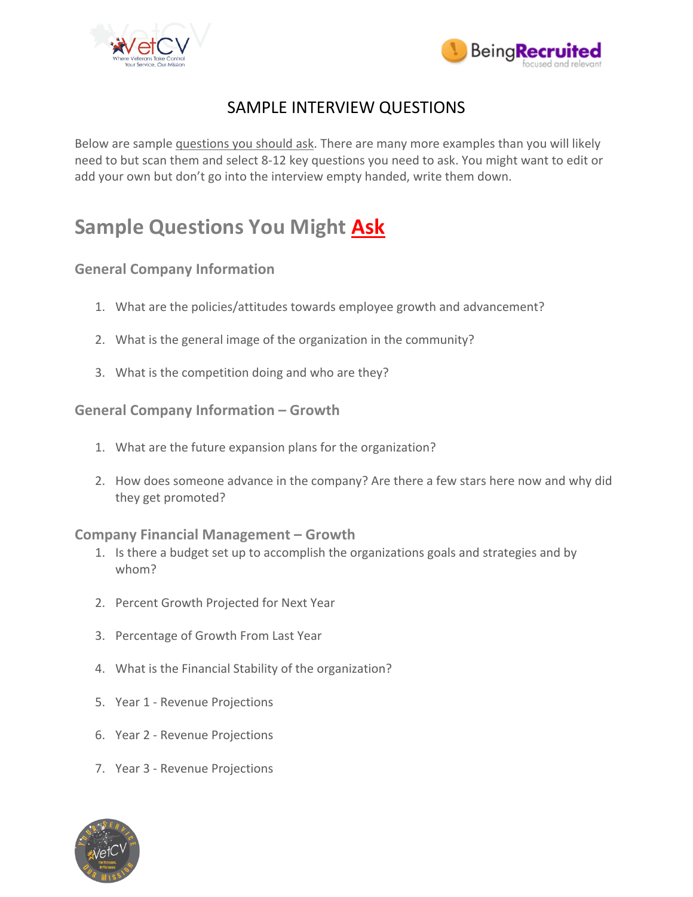



## SAMPLE INTERVIEW QUESTIONS

Below are sample questions you should ask. There are many more examples than you will likely need to but scan them and select 8-12 key questions you need to ask. You might want to edit or add your own but don't go into the interview empty handed, write them down.

# **Sample Questions You Might Ask**

### **General Company Information**

- 1. What are the policies/attitudes towards employee growth and advancement?
- 2. What is the general image of the organization in the community?
- 3. What is the competition doing and who are they?

#### **General Company Information – Growth**

- 1. What are the future expansion plans for the organization?
- 2. How does someone advance in the company? Are there a few stars here now and why did they get promoted?

#### **Company Financial Management – Growth**

- 1. Is there a budget set up to accomplish the organizations goals and strategies and by whom?
- 2. Percent Growth Projected for Next Year
- 3. Percentage of Growth From Last Year
- 4. What is the Financial Stability of the organization?
- 5. Year 1 Revenue Projections
- 6. Year 2 Revenue Projections
- 7. Year 3 Revenue Projections